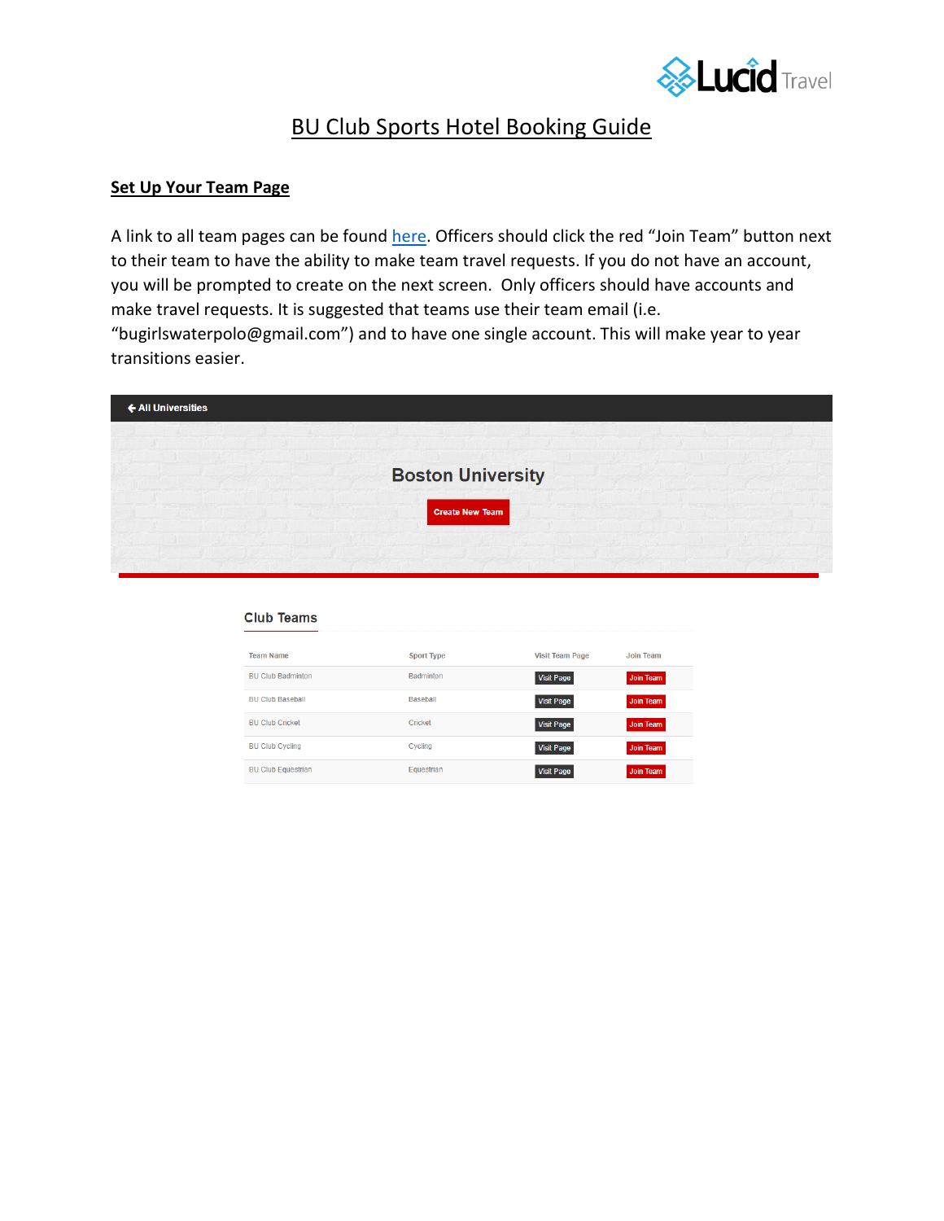

# BU Club Sports Hotel Booking Guide

### **Set Up Your Team Page**

**Club Teams** 

A link to all team pages can be found [here.](https://www.lucidtravel.us/university/boston-university/1082) Officers should click the red "Join Team" button next to their team to have the ability to make team travel requests. If you do not have an account, you will be prompted to create on the next screen. Only officers should have accounts and make travel requests. It is suggested that teams use their team email (i.e. "bugirlswaterpolo@gmail.com") and to have one single account. This will make year to year transitions easier.



| <b>Sport Type</b> | <b>Visit Team Page</b> | <b>Join Team</b> |
|-------------------|------------------------|------------------|
| <b>Badminton</b>  | <b>Visit Page</b>      | Join Team        |
| <b>Baseball</b>   | <b>Visit Page</b>      | Join Team        |
| Cricket           | <b>Visit Page</b>      | Join Team        |
| Cycling           | <b>Visit Page</b>      | Join Team        |
| Equestrian        | <b>Visit Page</b>      | <b>Join Team</b> |
|                   |                        |                  |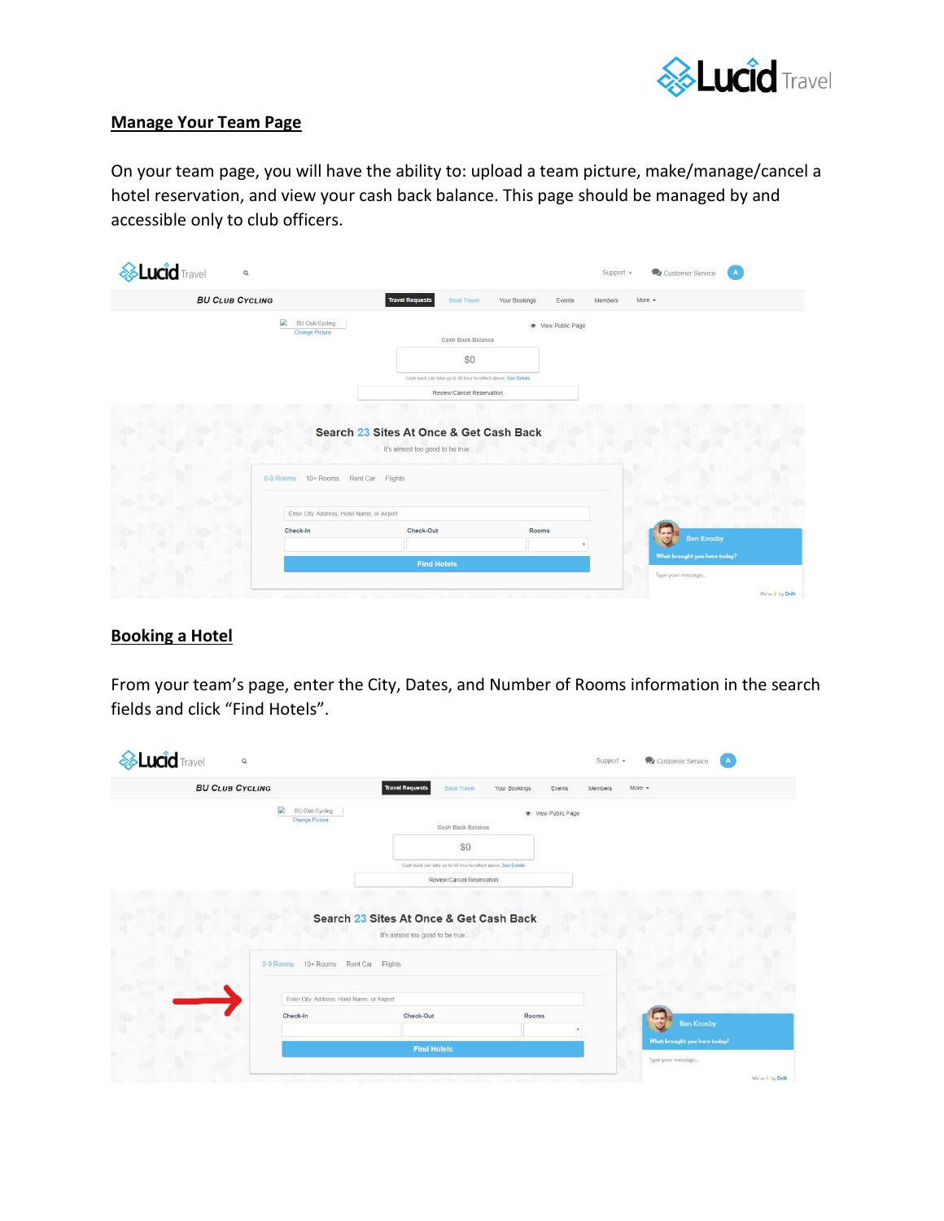

#### **Manage Your Team Page**

On your team page, you will have the ability to: upload a team picture, make/manage/cancel a hotel reservation, and view your cash back balance. This page should be managed by and accessible only to club officers.

| <b>BU CLUB CYCLING</b> |                                                      | <b>Travel Requests</b><br><b>Book Travel</b><br>Your Bookings<br>More $\sim$<br>Events<br><b>Members</b> |
|------------------------|------------------------------------------------------|----------------------------------------------------------------------------------------------------------|
|                        | D<br><b>BU Club Cycling</b><br><b>Change Picture</b> | Tew Public Page<br>Cash Back Balance                                                                     |
|                        |                                                      | \$0                                                                                                      |
|                        |                                                      | Cash back can take up to 48 hour to reflect above. See Details                                           |
|                        |                                                      | Review/Cancel Reservation                                                                                |
|                        |                                                      | Search 23 Sites At Once & Get Cash Back<br>It's almost too good to be true                               |
|                        | 0-9 Rooms 10+ Rooms Rent Car Flights                 |                                                                                                          |
|                        | Enter City, Address, Hotel Name, or Airport          |                                                                                                          |
|                        | Check-In                                             | Check-Out<br>Rooms<br><b>Ben Knosby</b><br>ري                                                            |
|                        |                                                      | What brought you here today?<br><b>Find Hotels</b>                                                       |

## **Booking a Hotel**

From your team's page, enter the City, Dates, and Number of Rooms information in the search fields and click "Find Hotels".

| <b>BU CLUB CYCLING</b>                        | <b>Travel Requests</b><br>Book Travel<br>Your Bookings<br>$More -$<br>Events<br>Members |
|-----------------------------------------------|-----------------------------------------------------------------------------------------|
| D<br>BU Club Cycling<br><b>Change Picture</b> | · View Public Page                                                                      |
|                                               | Cash Back Balance                                                                       |
|                                               | \$0                                                                                     |
|                                               | Cash back can take up to 48 hour to reflect above. See Details                          |
|                                               | Review/Cancel Reservation                                                               |
|                                               | Search 23 Sites At Once & Get Cash Back<br>It's almost too good to be true              |
| 0-9 Rooms 10+ Rooms Rent Car                  | Flights                                                                                 |
|                                               |                                                                                         |
|                                               | Enter City, Address, Hotel Name, or Airport                                             |
| Check-In                                      | Check-Out<br>Rooms                                                                      |
|                                               | <b>Ben Knosby</b><br>What brought you here today?                                       |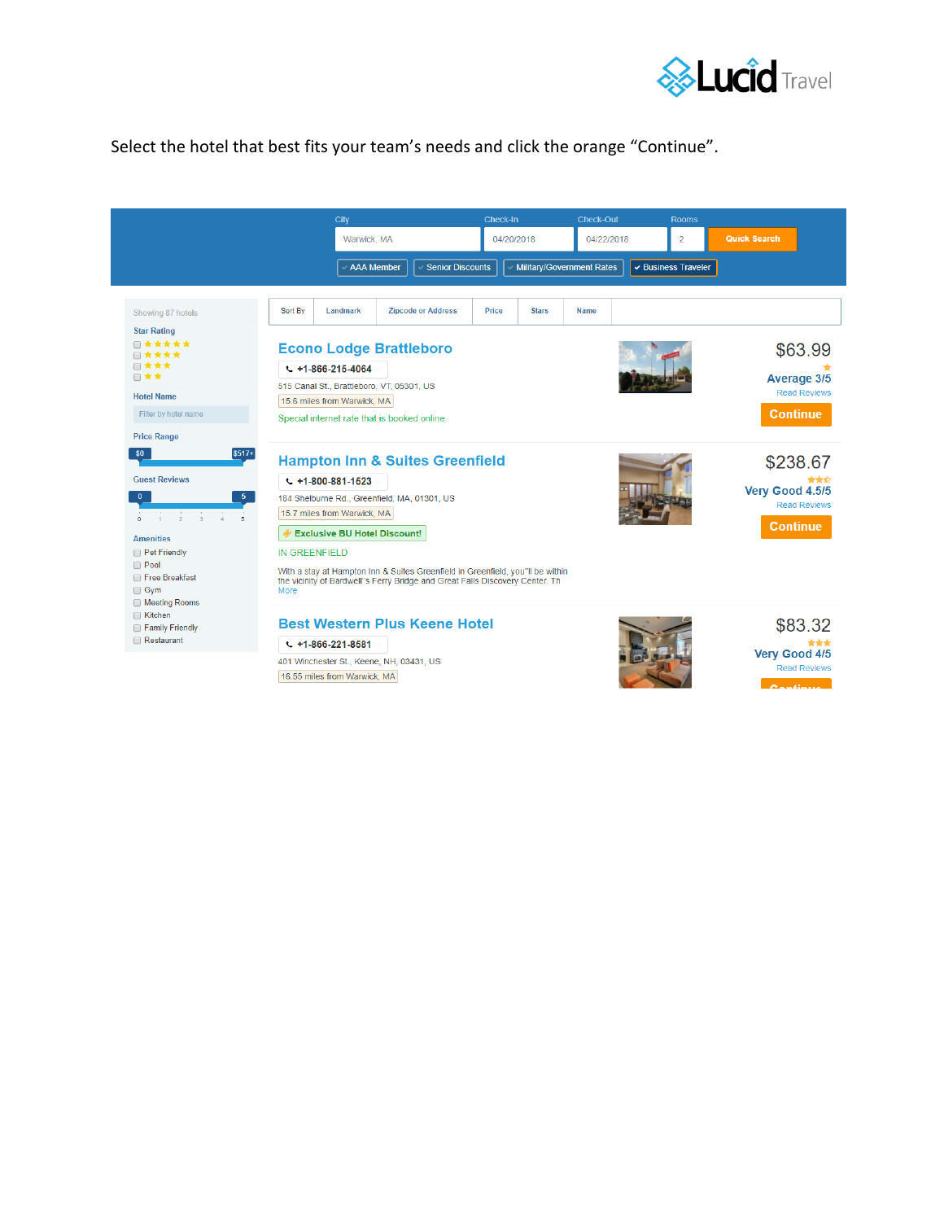

## Select the hotel that best fits your team's needs and click the orange "Continue".

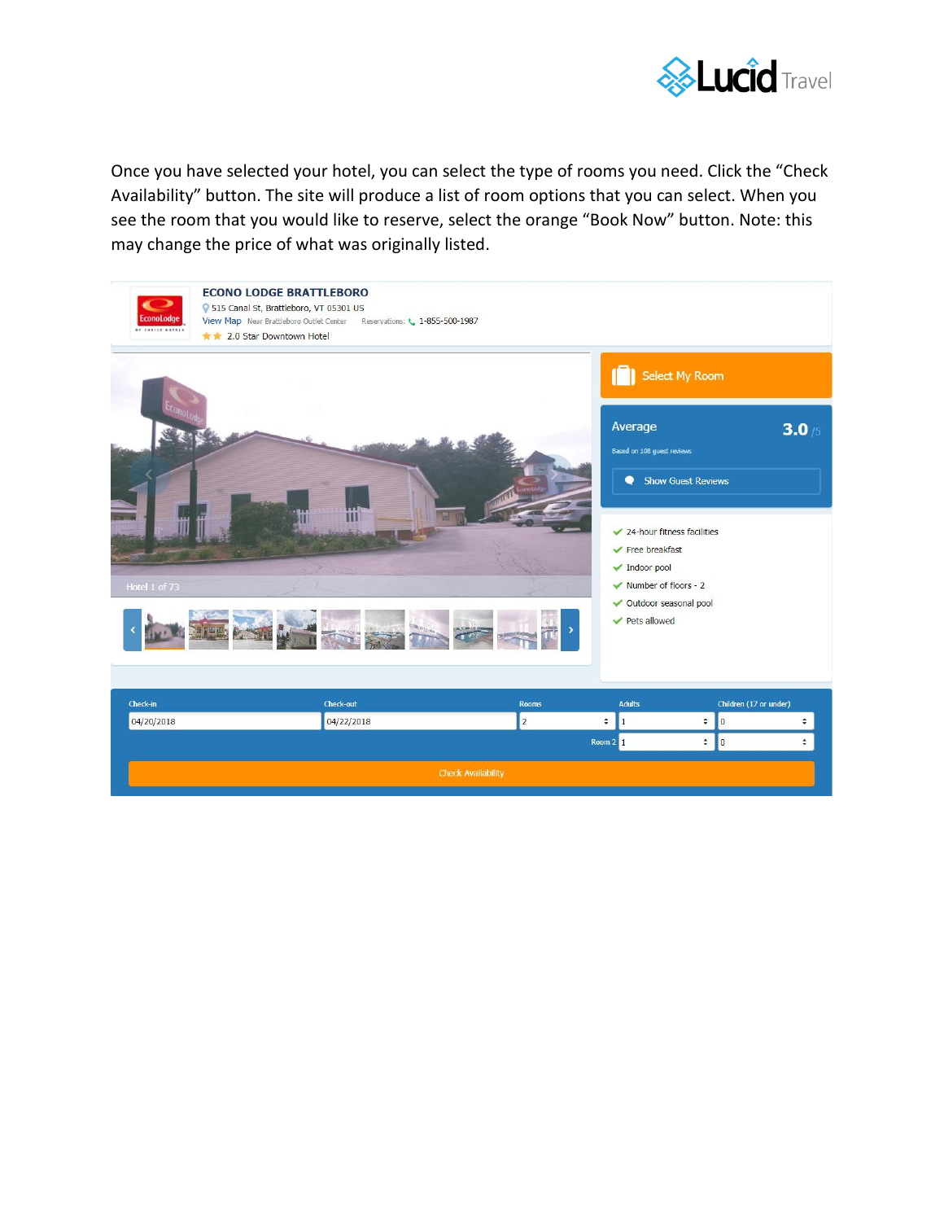

Once you have selected your hotel, you can select the type of rooms you need. Click the "Check Availability" button. The site will produce a list of room options that you can select. When you see the room that you would like to reserve, select the orange "Book Now" button. Note: this may change the price of what was originally listed.